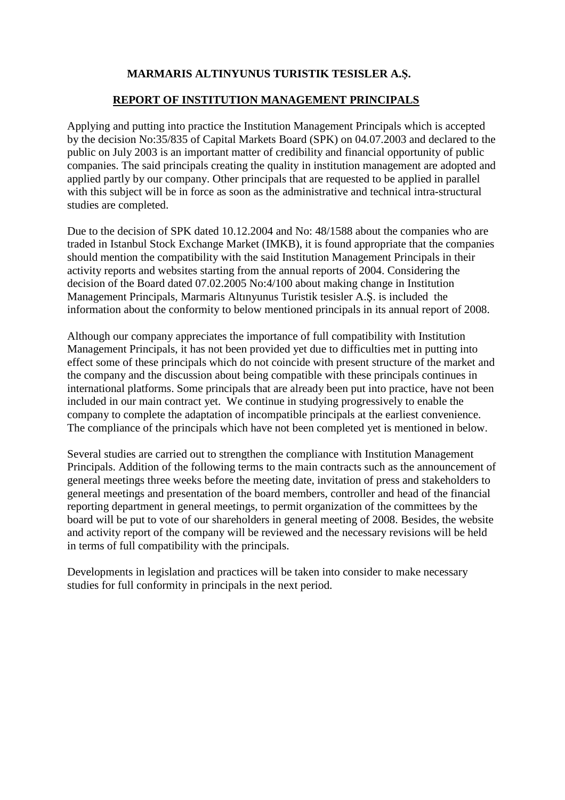## **MARMARIS ALTINYUNUS TURISTIK TESISLER A.Ş.**

#### **REPORT OF INSTITUTION MANAGEMENT PRINCIPALS**

Applying and putting into practice the Institution Management Principals which is accepted by the decision No:35/835 of Capital Markets Board (SPK) on 04.07.2003 and declared to the public on July 2003 is an important matter of credibility and financial opportunity of public companies. The said principals creating the quality in institution management are adopted and applied partly by our company. Other principals that are requested to be applied in parallel with this subject will be in force as soon as the administrative and technical intra-structural studies are completed.

Due to the decision of SPK dated 10.12.2004 and No: 48/1588 about the companies who are traded in Istanbul Stock Exchange Market (IMKB), it is found appropriate that the companies should mention the compatibility with the said Institution Management Principals in their activity reports and websites starting from the annual reports of 2004. Considering the decision of the Board dated 07.02.2005 No:4/100 about making change in Institution Management Principals, Marmaris Altınyunus Turistik tesisler A.Ş. is included the information about the conformity to below mentioned principals in its annual report of 2008.

Although our company appreciates the importance of full compatibility with Institution Management Principals, it has not been provided yet due to difficulties met in putting into effect some of these principals which do not coincide with present structure of the market and the company and the discussion about being compatible with these principals continues in international platforms. Some principals that are already been put into practice, have not been included in our main contract yet. We continue in studying progressively to enable the company to complete the adaptation of incompatible principals at the earliest convenience. The compliance of the principals which have not been completed yet is mentioned in below.

Several studies are carried out to strengthen the compliance with Institution Management Principals. Addition of the following terms to the main contracts such as the announcement of general meetings three weeks before the meeting date, invitation of press and stakeholders to general meetings and presentation of the board members, controller and head of the financial reporting department in general meetings, to permit organization of the committees by the board will be put to vote of our shareholders in general meeting of 2008. Besides, the website and activity report of the company will be reviewed and the necessary revisions will be held in terms of full compatibility with the principals.

Developments in legislation and practices will be taken into consider to make necessary studies for full conformity in principals in the next period.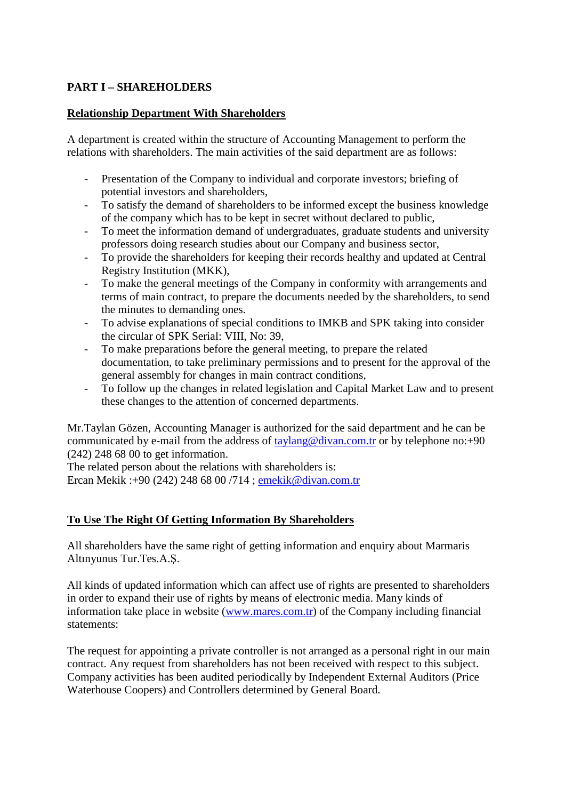## **PART I – SHAREHOLDERS**

#### **Relationship Department With Shareholders**

A department is created within the structure of Accounting Management to perform the relations with shareholders. The main activities of the said department are as follows:

- Presentation of the Company to individual and corporate investors; briefing of potential investors and shareholders,
- To satisfy the demand of shareholders to be informed except the business knowledge of the company which has to be kept in secret without declared to public,
- To meet the information demand of undergraduates, graduate students and university professors doing research studies about our Company and business sector,
- To provide the shareholders for keeping their records healthy and updated at Central Registry Institution (MKK),
- To make the general meetings of the Company in conformity with arrangements and terms of main contract, to prepare the documents needed by the shareholders, to send the minutes to demanding ones.
- To advise explanations of special conditions to IMKB and SPK taking into consider the circular of SPK Serial: VIII, No: 39,
- To make preparations before the general meeting, to prepare the related documentation, to take preliminary permissions and to present for the approval of the general assembly for changes in main contract conditions,
- To follow up the changes in related legislation and Capital Market Law and to present these changes to the attention of concerned departments.

Mr.Taylan Gözen, Accounting Manager is authorized for the said department and he can be communicated by e-mail from the address of taylang@divan.com.tr or by telephone no:+90 (242) 248 68 00 to get information.

The related person about the relations with shareholders is:

Ercan Mekik :+90 (242) 248 68 00 /714 ; emekik@divan.com.tr

# **To Use The Right Of Getting Information By Shareholders**

All shareholders have the same right of getting information and enquiry about Marmaris Altınyunus Tur.Tes.A.Ş.

All kinds of updated information which can affect use of rights are presented to shareholders in order to expand their use of rights by means of electronic media. Many kinds of information take place in website (www.mares.com.tr) of the Company including financial statements:

The request for appointing a private controller is not arranged as a personal right in our main contract. Any request from shareholders has not been received with respect to this subject. Company activities has been audited periodically by Independent External Auditors (Price Waterhouse Coopers) and Controllers determined by General Board.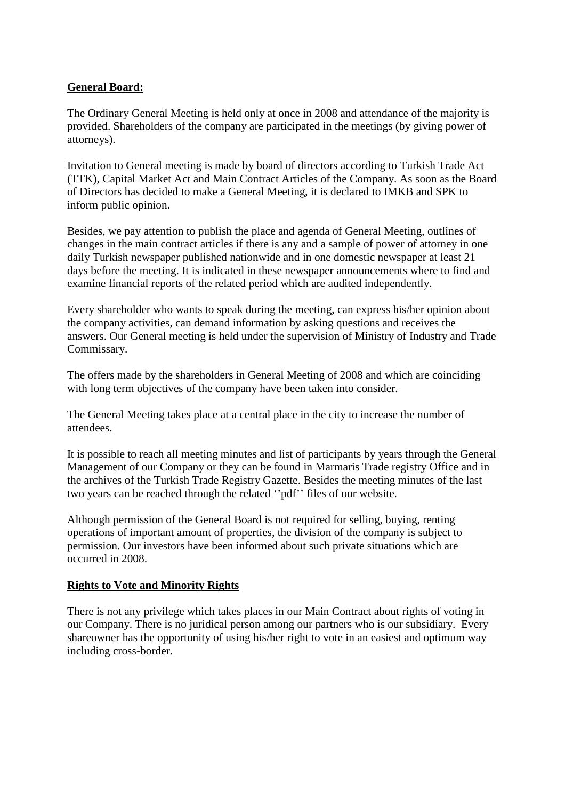## **General Board:**

The Ordinary General Meeting is held only at once in 2008 and attendance of the majority is provided. Shareholders of the company are participated in the meetings (by giving power of attorneys).

Invitation to General meeting is made by board of directors according to Turkish Trade Act (TTK), Capital Market Act and Main Contract Articles of the Company. As soon as the Board of Directors has decided to make a General Meeting, it is declared to IMKB and SPK to inform public opinion.

Besides, we pay attention to publish the place and agenda of General Meeting, outlines of changes in the main contract articles if there is any and a sample of power of attorney in one daily Turkish newspaper published nationwide and in one domestic newspaper at least 21 days before the meeting. It is indicated in these newspaper announcements where to find and examine financial reports of the related period which are audited independently.

Every shareholder who wants to speak during the meeting, can express his/her opinion about the company activities, can demand information by asking questions and receives the answers. Our General meeting is held under the supervision of Ministry of Industry and Trade Commissary.

The offers made by the shareholders in General Meeting of 2008 and which are coinciding with long term objectives of the company have been taken into consider.

The General Meeting takes place at a central place in the city to increase the number of attendees.

It is possible to reach all meeting minutes and list of participants by years through the General Management of our Company or they can be found in Marmaris Trade registry Office and in the archives of the Turkish Trade Registry Gazette. Besides the meeting minutes of the last two years can be reached through the related ''pdf'' files of our website.

Although permission of the General Board is not required for selling, buying, renting operations of important amount of properties, the division of the company is subject to permission. Our investors have been informed about such private situations which are occurred in 2008.

## **Rights to Vote and Minority Rights**

There is not any privilege which takes places in our Main Contract about rights of voting in our Company. There is no juridical person among our partners who is our subsidiary. Every shareowner has the opportunity of using his/her right to vote in an easiest and optimum way including cross-border.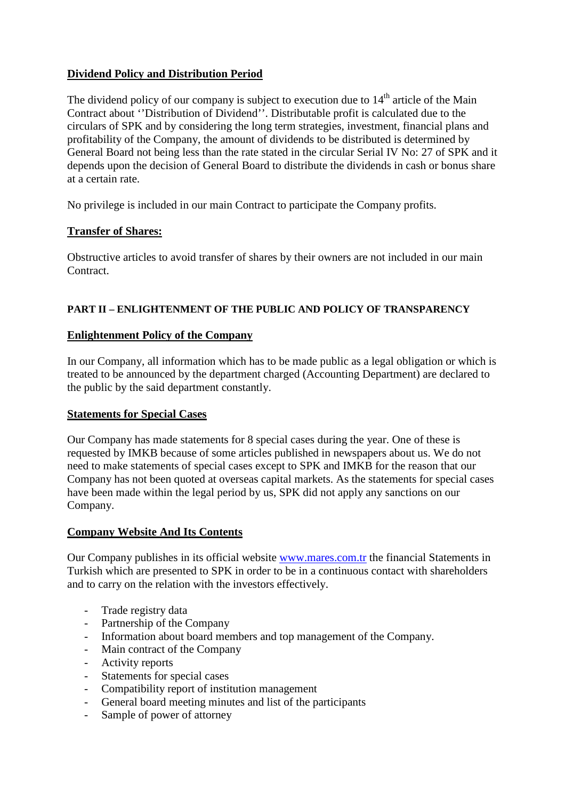# **Dividend Policy and Distribution Period**

The dividend policy of our company is subject to execution due to  $14<sup>th</sup>$  article of the Main Contract about ''Distribution of Dividend''. Distributable profit is calculated due to the circulars of SPK and by considering the long term strategies, investment, financial plans and profitability of the Company, the amount of dividends to be distributed is determined by General Board not being less than the rate stated in the circular Serial IV No: 27 of SPK and it depends upon the decision of General Board to distribute the dividends in cash or bonus share at a certain rate.

No privilege is included in our main Contract to participate the Company profits.

# **Transfer of Shares:**

Obstructive articles to avoid transfer of shares by their owners are not included in our main Contract.

## **PART II – ENLIGHTENMENT OF THE PUBLIC AND POLICY OF TRANSPARENCY**

## **Enlightenment Policy of the Company**

In our Company, all information which has to be made public as a legal obligation or which is treated to be announced by the department charged (Accounting Department) are declared to the public by the said department constantly.

## **Statements for Special Cases**

Our Company has made statements for 8 special cases during the year. One of these is requested by IMKB because of some articles published in newspapers about us. We do not need to make statements of special cases except to SPK and IMKB for the reason that our Company has not been quoted at overseas capital markets. As the statements for special cases have been made within the legal period by us, SPK did not apply any sanctions on our Company.

## **Company Website And Its Contents**

Our Company publishes in its official website www.mares.com.tr the financial Statements in Turkish which are presented to SPK in order to be in a continuous contact with shareholders and to carry on the relation with the investors effectively.

- Trade registry data
- Partnership of the Company
- Information about board members and top management of the Company.
- Main contract of the Company
- Activity reports
- Statements for special cases
- Compatibility report of institution management
- General board meeting minutes and list of the participants
- Sample of power of attorney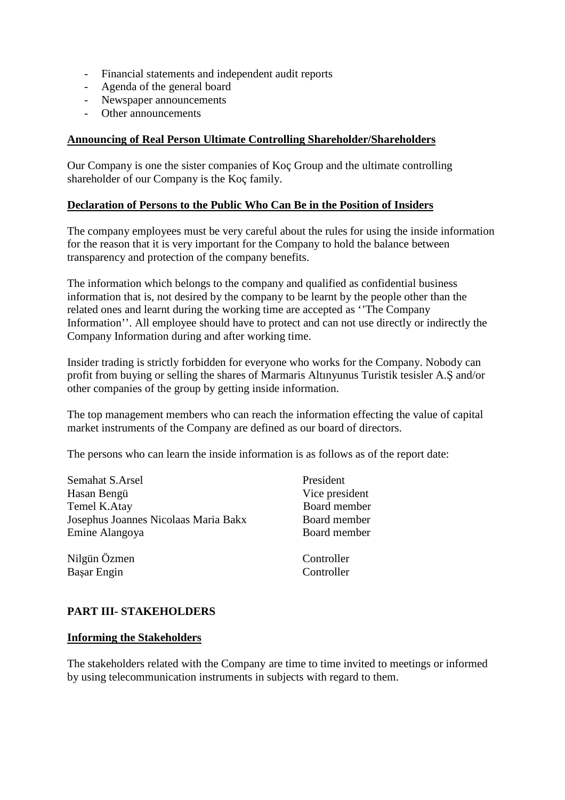- Financial statements and independent audit reports
- Agenda of the general board
- Newspaper announcements
- Other announcements

#### **Announcing of Real Person Ultimate Controlling Shareholder/Shareholders**

Our Company is one the sister companies of Koç Group and the ultimate controlling shareholder of our Company is the Koç family.

#### **Declaration of Persons to the Public Who Can Be in the Position of Insiders**

The company employees must be very careful about the rules for using the inside information for the reason that it is very important for the Company to hold the balance between transparency and protection of the company benefits.

The information which belongs to the company and qualified as confidential business information that is, not desired by the company to be learnt by the people other than the related ones and learnt during the working time are accepted as ''The Company Information''. All employee should have to protect and can not use directly or indirectly the Company Information during and after working time.

Insider trading is strictly forbidden for everyone who works for the Company. Nobody can profit from buying or selling the shares of Marmaris Altınyunus Turistik tesisler A.Ş and/or other companies of the group by getting inside information.

The top management members who can reach the information effecting the value of capital market instruments of the Company are defined as our board of directors.

The persons who can learn the inside information is as follows as of the report date:

| Semahat S.Arsel                      | President      |
|--------------------------------------|----------------|
| Hasan Bengü                          | Vice president |
| Temel K.Atay                         | Board member   |
| Josephus Joannes Nicolaas Maria Bakx | Board member   |
| Emine Alangoya                       | Board member   |
| Nilgün Özmen                         | Controller     |

Başar Engin Controller

## **PART III- STAKEHOLDERS**

#### **Informing the Stakeholders**

The stakeholders related with the Company are time to time invited to meetings or informed by using telecommunication instruments in subjects with regard to them.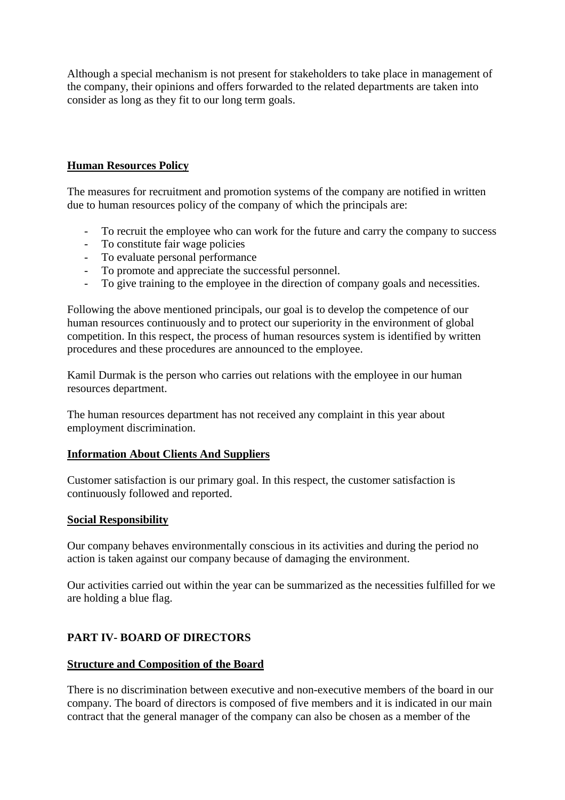Although a special mechanism is not present for stakeholders to take place in management of the company, their opinions and offers forwarded to the related departments are taken into consider as long as they fit to our long term goals.

## **Human Resources Policy**

The measures for recruitment and promotion systems of the company are notified in written due to human resources policy of the company of which the principals are:

- To recruit the employee who can work for the future and carry the company to success
- To constitute fair wage policies
- To evaluate personal performance
- To promote and appreciate the successful personnel.
- To give training to the employee in the direction of company goals and necessities.

Following the above mentioned principals, our goal is to develop the competence of our human resources continuously and to protect our superiority in the environment of global competition. In this respect, the process of human resources system is identified by written procedures and these procedures are announced to the employee.

Kamil Durmak is the person who carries out relations with the employee in our human resources department.

The human resources department has not received any complaint in this year about employment discrimination.

#### **Information About Clients And Suppliers**

Customer satisfaction is our primary goal. In this respect, the customer satisfaction is continuously followed and reported.

#### **Social Responsibility**

Our company behaves environmentally conscious in its activities and during the period no action is taken against our company because of damaging the environment.

Our activities carried out within the year can be summarized as the necessities fulfilled for we are holding a blue flag.

## **PART IV- BOARD OF DIRECTORS**

## **Structure and Composition of the Board**

There is no discrimination between executive and non-executive members of the board in our company. The board of directors is composed of five members and it is indicated in our main contract that the general manager of the company can also be chosen as a member of the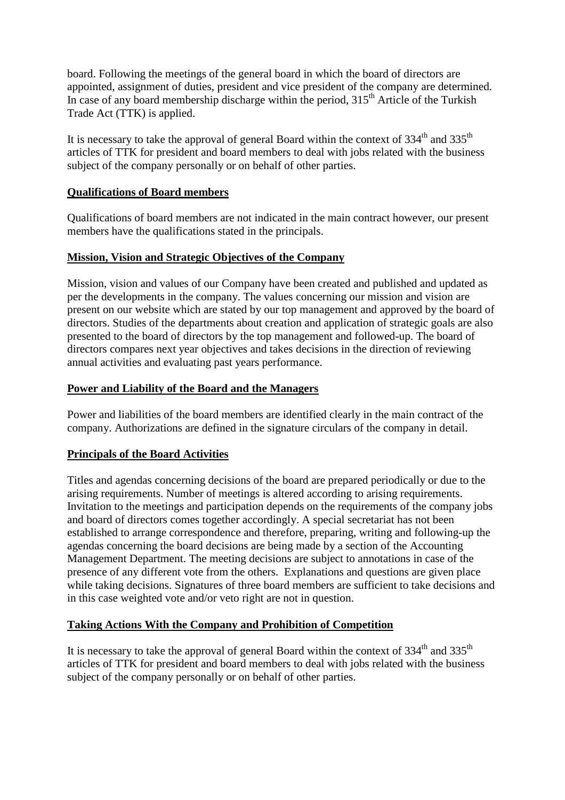board. Following the meetings of the general board in which the board of directors are appointed, assignment of duties, president and vice president of the company are determined. In case of any board membership discharge within the period,  $315<sup>th</sup>$  Article of the Turkish Trade Act (TTK) is applied.

It is necessary to take the approval of general Board within the context of  $334<sup>th</sup>$  and  $335<sup>th</sup>$ articles of TTK for president and board members to deal with jobs related with the business subject of the company personally or on behalf of other parties.

## **Qualifications of Board members**

Qualifications of board members are not indicated in the main contract however, our present members have the qualifications stated in the principals.

## **Mission, Vision and Strategic Objectives of the Company**

Mission, vision and values of our Company have been created and published and updated as per the developments in the company. The values concerning our mission and vision are present on our website which are stated by our top management and approved by the board of directors. Studies of the departments about creation and application of strategic goals are also presented to the board of directors by the top management and followed-up. The board of directors compares next year objectives and takes decisions in the direction of reviewing annual activities and evaluating past years performance.

## **Power and Liability of the Board and the Managers**

Power and liabilities of the board members are identified clearly in the main contract of the company. Authorizations are defined in the signature circulars of the company in detail.

# **Principals of the Board Activities**

Titles and agendas concerning decisions of the board are prepared periodically or due to the arising requirements. Number of meetings is altered according to arising requirements. Invitation to the meetings and participation depends on the requirements of the company jobs and board of directors comes together accordingly. A special secretariat has not been established to arrange correspondence and therefore, preparing, writing and following-up the agendas concerning the board decisions are being made by a section of the Accounting Management Department. The meeting decisions are subject to annotations in case of the presence of any different vote from the others. Explanations and questions are given place while taking decisions. Signatures of three board members are sufficient to take decisions and in this case weighted vote and/or veto right are not in question.

## **Taking Actions With the Company and Prohibition of Competition**

It is necessary to take the approval of general Board within the context of  $334<sup>th</sup>$  and  $335<sup>th</sup>$ articles of TTK for president and board members to deal with jobs related with the business subject of the company personally or on behalf of other parties.